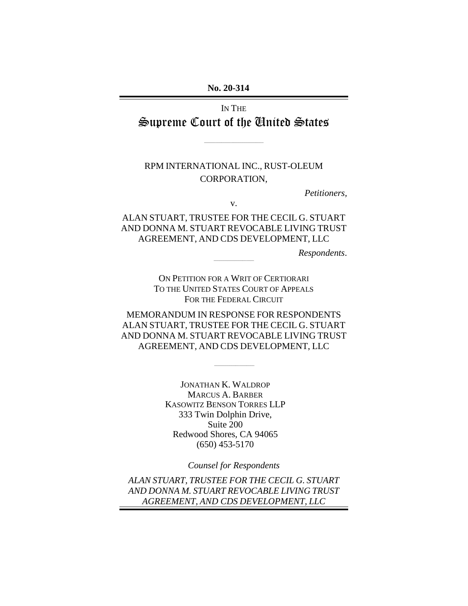No. 20-314 **No. 20-314** 

IN THE IN THE Supreme Court of the Tnited States

\_\_\_\_\_\_\_\_\_\_\_\_\_\_\_\_\_\_\_\_\_\_\_\_\_\_\_\_\_\_\_

### RPM INTERNATIONAL INC., RUST-OLEUM<br>CORPORATION, CORPORATION,

Petitioners, *Petitioners,* 

v. v.

ALAN STUART, TRUSTEE FOR THE CECIL G. STUART<br>AND DONNA M. STUART REVOCABLE LIVING TRUST AND DONNA M. STUART REVOCABLE LIVING TRUST AGREEMENT, AND CDS DEVELOPMENT, LLC AGREEMENT, AND CDS DEVELOPMENT, LLC

Respondents. *Respondents*. \_\_\_\_\_\_\_\_\_\_\_\_\_\_\_\_\_\_\_\_\_

ON PETITION FOR A WRIT OF CERTIORARI ON PETITION FOR A WRIT OF CERTIORARI To THE UNITED STATES COURT OF APPEALS TO THE UNITED STATES COURT OF APPEALS FOR THE FEDERAL CIRCUIT

MEMORANDUM IN RESPONSE FOR RESPONDENTS MEMORANDUM IN RESPONSE FOR RESPONDENTS ALAN STUART, TRUSTEE FOR THE CECIL G. STUART ALAN STUART, TRUSTEE FOR THE CECIL G. STUART AND DONNA M. STUART REVOCABLE LIVING TRUST AND DONNA M. STUART REVOCABLE LIVING TRUST AGREEMENT, AND CDS DEVELOPMENT, LLC AGREEMENT, AND CDS DEVELOPMENT, LLC

 $\frac{1}{2}$  ,  $\frac{1}{2}$  ,  $\frac{1}{2}$  ,  $\frac{1}{2}$  ,  $\frac{1}{2}$  ,  $\frac{1}{2}$  ,  $\frac{1}{2}$  ,  $\frac{1}{2}$  ,  $\frac{1}{2}$  ,  $\frac{1}{2}$  ,  $\frac{1}{2}$  ,  $\frac{1}{2}$  ,  $\frac{1}{2}$  ,  $\frac{1}{2}$  ,  $\frac{1}{2}$  ,  $\frac{1}{2}$  ,  $\frac{1}{2}$  ,  $\frac{1}{2}$  ,  $\frac{1$ 

JONATHAN K. WALDROP JONATHAN K. WALDROP MARCUS A. BARBER MARCUS A. BARBER KASOWITZ BENSON TORRES LLP KASOWITZ BENSON TORRES LLP 333 Twin Dolphin Drive, Suite 200 Redwood Shores, CA 94065 333 Twin Dolphin Drive, Suite 200 Redwood Shores, CA 94065 (650) 453-5170 (650) 453-5170

Counsel for Respondents

ALAN STUART, TRUSTEE FOR THE CECIL G. STUART *Counsel for Respondents ALAN STUART, TRUSTEE FOR THE CECIL G. STUART*  AND DONNA M STUART REVOCABLE LIVING TRUST *AND DONNA M. STUART REVOCABLE LIVING TRUST* AGREEMENT, AND CDS DEVELOPMENT, LLC *AGREEMENT, AND CDS DEVELOPMENT, LLC*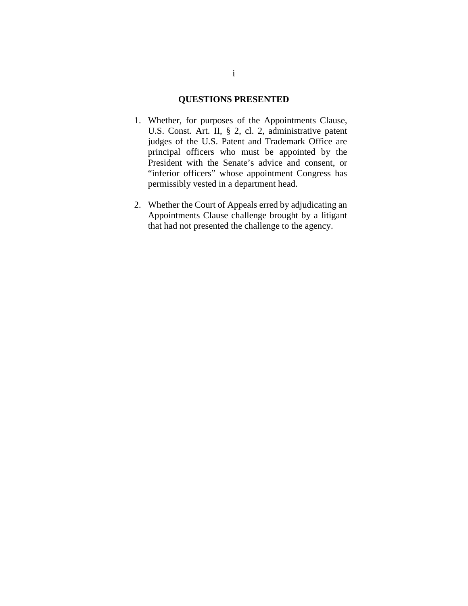#### QUESTIONS PRESENTED **QUESTIONS PRESENTED**

- 1. Whether, for purposes of the Appointments Clause, 1. Whether, for purposes of the Appointments Clause, U.S. Const. Art. II, § 2, cl. 2, administrative patent judges of the U.S. Patent and Trademark Office are principal officers who must be appointed by the President with the Senate's advice and consent, or "inferior officers" whose appointment Congress has "inferior officers" whose appointment Congress has permissibly vested in a department head. U.S. Const. Art. II, § 2, cl. 2, administrative patent judges of the U.S. Patent and Trademark Office are principal officers who must be appointed by the President with the Senate's advice and consent, or
- 2. Whether the Court of Appeals erred by adjudicating an Appointments Clause challenge brought by a litigant that had not presented the challenge to the agency. that had not presented the challenge to the agency. permissibly vested in a department head. 2. Whether the Court of Appeals erred by adjudicating an Appointments Clause challenge brought by a litigant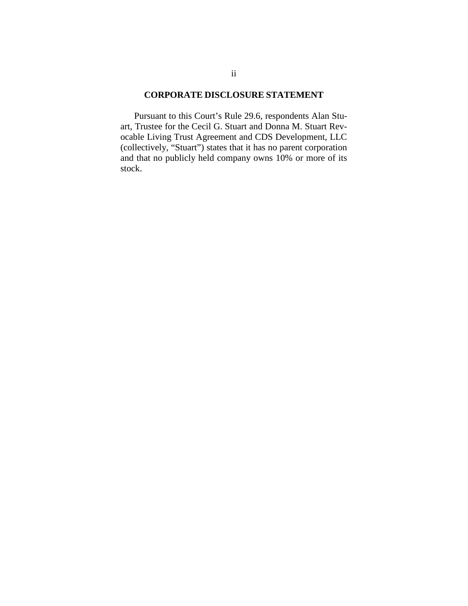#### CORPORATE DISCLOSURE STATEMENT **CORPORATE DISCLOSURE STATEMENT**

Pursuant to this Court's Rule 29.6, respondents Alan Stu- Pursuant to this Court's Rule 29.6, respondents Alan Stuart, Trustee for the Cecil G. Stuart and Donna M. Stuart Rev-art, Trustee for the Cecil G. Stuart and Donna M. Stuart Revocable Living Trust Agreement and CDS Development, LLC (collectively, "Stuart") states that it has no parent corporation ocable Living Trust Agreement and CDS Development, LLC<br>(collectively, "Stuart") states that it has no parent corporation<br>and that no publicly held company owns 10% or more of its stock. stock.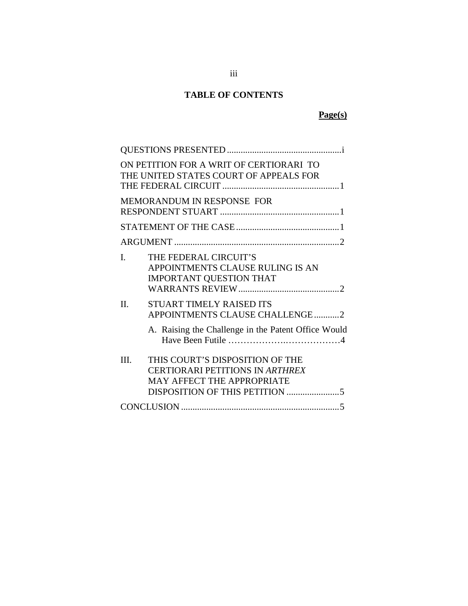#### TABLE OF CONTENTS **TABLE OF CONTENTS**

#### Page(s) **Page(s)**

|                            | ON PETITION FOR A WRIT OF CERTIORARI TO<br>THE UNITED STATES COURT OF APPEALS FOR                                 |  |
|----------------------------|-------------------------------------------------------------------------------------------------------------------|--|
| MEMORANDUM IN RESPONSE FOR |                                                                                                                   |  |
|                            |                                                                                                                   |  |
|                            |                                                                                                                   |  |
| $\mathbf{I}$               | THE FEDERAL CIRCUIT'S<br>APPOINTMENTS CLAUSE RULING IS AN<br><b>IMPORTANT QUESTION THAT</b>                       |  |
| II.                        | STUART TIMELY RAISED ITS<br>APPOINTMENTS CLAUSE CHALLENGE2<br>A. Raising the Challenge in the Patent Office Would |  |
| III.                       | THIS COURT'S DISPOSITION OF THE<br><b>CERTIORARI PETITIONS IN ARTHREX</b><br>MAY AFFECT THE APPROPRIATE           |  |
|                            |                                                                                                                   |  |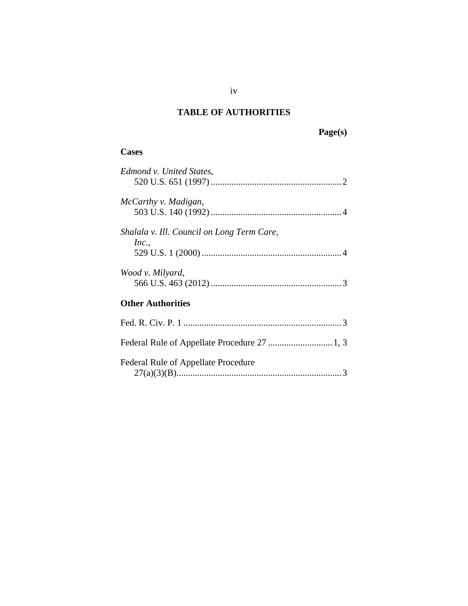# TABLE OF AUTHORITIES TABLE OF AUTHORITIES **Page(s)**<br>Cases

Page(s)

#### **Cases**

| Edmond v. United States,                   |
|--------------------------------------------|
|                                            |
| McCarthy v. Madigan,                       |
|                                            |
| Shalala v. Ill. Council on Long Term Care, |
| Inc.                                       |
|                                            |
| Wood v. Milyard,                           |
|                                            |
| <b>Other Authorities</b>                   |
|                                            |
|                                            |
| Federal Rule of Appellate Procedure        |
|                                            |

iv iv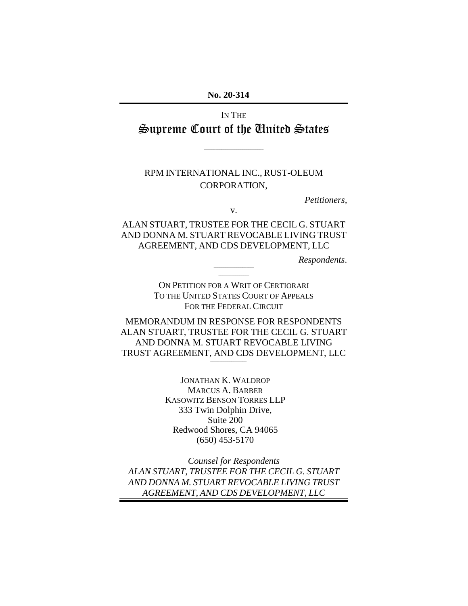No. 20-314 **No. 20-314** 

## IN THE IN THE Supreme Court of the Chited States

\_\_\_\_\_\_\_\_\_\_\_\_\_\_\_\_\_\_\_\_\_\_\_\_\_\_\_\_\_\_\_

### RPM INTERNATIONAL INC., RUST-OLEUM<br>CORPORATION, CORPORATION,

Petitioners, *Petitioners,* 

v. v.

#### ALAN STUART, TRUSTEE FOR THE CECIL G. STUART ALAN STUART, TRUSTEE FOR THE CECIL G. STUART<br>AND DONNA M. STUART REVOCABLE LIVING TRUST AGREEMENT, AND CDS DEVELOPMENT, LLC AGREEMENT, AND CDS DEVELOPMENT, LLC

Respondents. *Respondents*. \_\_\_\_\_\_\_\_\_\_\_\_\_\_\_\_\_\_\_\_\_

ON PETITION FOR A WRIT OF CERTIORARI ON PETITION FOR A WRIT OF CERTIORARI To THE UNITED STATES COURT OF APPEALS TO THE UNITED STATES COURT OF APPEALS FOR THE FEDERAL CIRCUIT

 $\mathcal{L}=\mathcal{L}^{\mathcal{L}}$ 

MEMORANDUM IN RESPONSE FOR RESPONDENTS ALAN STUART, TRUSTEE FOR THE CECIL G. STUART AND DONNA M. STUART REVOCABLE LIVING MEMORANDUM IN RESPONSE FOR RESPONDENTS<br>ALAN STUART, TRUSTEE FOR THE CECIL G. STUART<br>AND DONNA M. STUART REVOCABLE LIVING<br>TRUST AGREEMENT, AND CDS DEVELOPMENT, LLC \_\_\_\_\_\_\_\_\_\_\_\_\_\_\_\_\_\_\_

> JONATHAN K. WALDROP JONATHAN K. WALDROP MARCUS A. BARBER MARCUS A. BARBER KASOWITZ BENSON TORRES LLP KASOWITZ BENSON TORRES LLP 333 Twin Dolphin Drive, Suite 200 Redwood Shores, CA 94065 333 Twin Dolphin Drive, Suite 200 Redwood Shores, CA 94065 (650) 453-5170 (650) 453-5170

Counsel for Respondents ALAN STUART, TRUSTEE FOR THE CECIL G. STUART *Counsel for Respondents ALAN STUART, TRUSTEE FOR THE CECIL G. STUART* AND DONNA M STUART REVOCABLE LIVING TRUST *AND DONNA M. STUART REVOCABLE LIVING TRUST* AGREEMENT, AND CDS DEVELOPMENT, LLC *AGREEMENT, AND CDS DEVELOPMENT, LLC*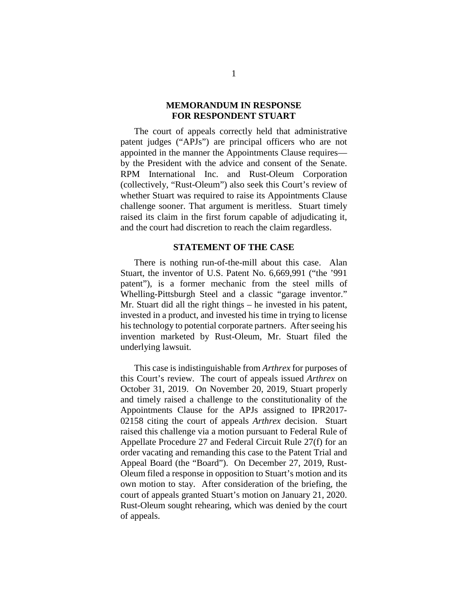#### MEMORANDUM IN RESPONSE **MEMORANDUM IN RESPONSE**  FOR RESPONDENT STUART **FOR RESPONDENT STUART**

The court of appeals correctly held that administrative The court of appeals correctly held that administrative patent judges ("APJs") are principal officers who are not patent judges ("APJs") are principal officers who are not appointed in the manner the Appointments Clause requires— appointed in the manner the Appointments Clause requires by the President with the advice and consent of the Senate. by the President with the advice and consent of the Senate. RPM International Inc. and Rust-Oleum Corporation RPM International Inc. and Rust-Oleum Corporation (collectively, "Rust-Oleum") also seek this Court's review of (collectively, "Rust-Oleum") also seek this Court's review of whether Stuart was required to raise its Appointments Clause whether Stuart was required to raise its Appointments Clause challenge sooner. That argument is meritless. Stuart timely challenge sooner. That argument is meritless. Stuart timely raised its claim in the first forum capable of adjudicating it, raised its claim in the first forum capable of adjudicating it, and the court had discretion to reach the claim regardless. and the court had discretion to reach the claim regardless.

#### STATEMENT OF THE CASE **STATEMENT OF THE CASE**

There is nothing run-of-the-mill about this case. Alan Stuart, the inventor of U.S. Patent No. 6,669,991 ("the '991 There is nothing run-of-the-mill about this case. Alan<br>Stuart, the inventor of U.S. Patent No. 6,669,991 ("the '991<br>patent"), is a former mechanic from the steel mills of Whelling-Pittsburgh Steel and a classic "garage inventor." Whelling-Pittsburgh Steel and a classic "garage inventor." Mr. Stuart did all the right things — he invested in his patent, invested in a product, and invested his time in trying to license his technology to potential corporate partners. After seeing his invention marketed by Rust-Oleum, Mr. Stuart filed the underlying lawsuit. Mr. Stuart did all the right things – he invested in his patent, invested in a product, and invested his time in trying to license his technology to potential corporate partners. After seeing his invention marketed by Rust

This case is indistinguishable from Arthrex for purposes of This case is indistinguishable from *Arthrex* for purposes of this Court's review. The court of appeals issued *Arthrex* on October 31, 2019. On November 20, 2019, Stuart properly October 31, 2019. On November 20, 2019, Stuart properly and timely raised a challenge to the constitutionality of the and timely raised a challenge to the constitutionality of the Appointments Clause for the APJs assigned to IPR2017- 02158 citing the court of appeals Arthrex decision. Stuart raised this challenge via a motion pursuant to Federal Rule of Appellate Procedure 27 and Federal Circuit Rule 27(f) for an Appellate Procedure 27 and Federal Circuit Rule 27(f) for an order vacating and remanding this case to the Patent Trial and order vacating and remanding this case to the Patent Trial and Appeal Board (the "Board"). On December 27, 2019, Rust-Appeal Board (the "Board"). On December 27, 2019, Rust-Oleum filed a response in opposition to Stuart's motion and its Oleum filed a response in opposition to Stuart's motion and its own motion to stay. After consideration of the briefing, the court of appeals granted Stuart's motion on January 21, 2020. Rust-Oleum sought rehearing, which was denied by the court of appeals. of appeals. Appointments Clause for the APJs assigned to IPR2017-02158 citing the court of appeals *Arthrex* decision. Stuart raised this challenge via a motion pursuant to Federal Rule of own motion to stay. After consideration of the briefing, the court of appeals granted Stuart's motion on January 21, 2020. Rust-Oleum sought rehearing, which was denied by the court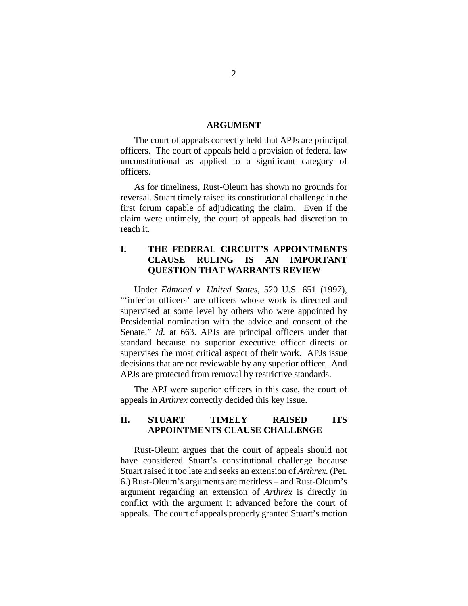#### ARGUMENT **ARGUMENT**

The court of appeals correctly held that APJs are principal The court of appeals correctly held that APJs are principal officers. The court of appeals held a provision of federal law unconstitutional as applied to a significant category of unconstitutional as applied to a significant category of officers. officers.

As for timeliness, Rust-Oleum has shown no grounds for As for timeliness, Rust-Oleum has shown no grounds for reversal. Stuart timely raised its constitutional challenge in the first forum capable of adjudicating the claim. Even if the claim were untimely, the court of appeals had discretion to reach it. reversal. Stuart timely raised its constitutional challenge in the first forum capable of adjudicating the claim. Even if the claim were untimely, the court of appeals had discretion to reach it.

#### I. THE FEDERAL CIRCUIT'S APPOINTMENTS **I. THE FEDERAL CIRCUIT'S APPOINTMENTS**  CLAUSE RULING IS AN IMPORTANT QUESTION THAT WARRANTS REVIEW **CLAUSE RULING IS AN IMPORTANT QUESTION THAT WARRANTS REVIEW**

Under Edmond v. United States, 520 U.S. 651 (1997), Under *Edmond v. United States*, 520 U.S. 651 (1997), "inferior officers' are officers whose work is directed and supervised at some level by others who were appointed by supervised at some level by others who were appointed by Presidential nomination with the advice and consent of the Senate." *Id.* at 663. APJs are principal officers under that standard because no superior executive officer directs or supervises the most critical aspect of their work. APJs issue decisions that are not reviewable by any superior officer. And decisions that are not reviewable by any superior officer. And APJs are protected from removal by restrictive standards. APJs are protected from removal by restrictive standards. Presidential nomination with the advice and consent of the<br>Senate." *Id.* at 663. APJs are principal officers under that<br>standard because no superior executive officer directs or<br>supervises the most critical aspect of thei

The APJ were superior officers in this case, the court of The APJ were superior officers in this case, the court of appeals in Arthrex correctly decided this key issue. appeals in *Arthrex* correctly decided this key issue.

#### II. STUART TIMELY RAISED ITS **II. STUART TIMELY RAISED ITS**  APPOINTMENTS CLAUSE CHALLENGE **APPOINTMENTS CLAUSE CHALLENGE**

Rust-Oleum argues that the court of appeals should not<br>have considered Stuart's constitutional challenge because<br>Stuart raised it too late and seeks an extension of *Arthrex*. (Pet.<br>6.) Rust-Oleum's arguments are meritless have considered Stuart's constitutional challenge because Stuart raised it too late and seeks an extension of *Arthrex*. (Pet.) 6.) Rust-Oleum's arguments are meritless — and Rust-Oleum's argument regarding an extension of Arthrex is directly in argument regarding an extension of *Arthrex* is directly in conflict with the argument it advanced before the court of appeals. The court of appeals properly granted Stuart's motion appeals. The court of appeals properly granted Stuart's motion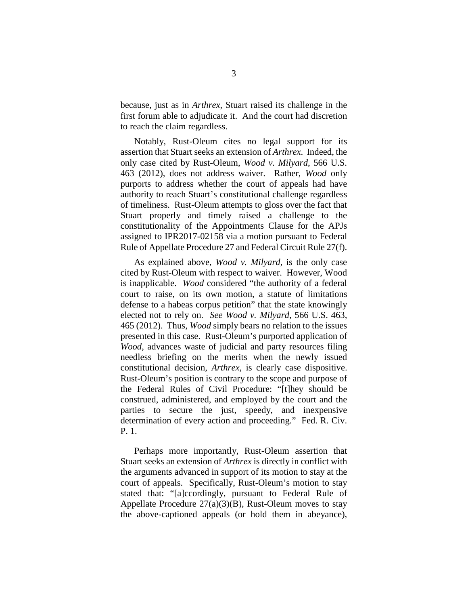because, just as in Arthrex, Stuart raised its challenge in the 3 because, just as in *Arthrex*, Stuart raised its challenge in the first forum able to adjudicate it. And the court had discretion first forum able to adjudicate it. And the court had discretion to reach the claim regardless.

Notably, Rust-Oleum cites no legal support for its assertion that Stuart seeks an extension of Arthrex. Indeed, the only case cited by Rust-Oleum, Wood v. Milyard, 566 U.S. 463 (2012), does not address waiver. Rather, Wood only 463 (2012), does not address waiver. Rather, *Wood* only purports to address whether the court of appeals had have authority to reach Stuart's constitutional challenge regardless of timeliness. Rust-Oleum attempts to gloss over the fact that Stuart properly and timely raised a challenge to the constitutionality of the Appointments Clause for the APJs constitutionality of the Appointments Clause for the APJs assigned to IPR2017-02158 via a motion pursuant to Federal Rule of Appellate Procedure 27 and Federal Circuit Rule 27(f). to reach the claim regardless. Notably, Rust-Oleum cites no legal support for its assertion that Stuart seeks an extension of *Arthrex*. Indeed, the only case cited by Rust-Oleum, *Wood v. Milyard*, 566 U.S. purports to address whether the court of appeals had have<br>authority to reach Stuart's constitutional challenge regardless<br>of timeliness. Rust-Oleum attempts to gloss over the fact that<br>Stuart properly and timely raised a c

As explained above, *Wood v. Milyard*, is the only case assigned to IPR2017-02158 via a motion pursuant to Federal<br>Rule of Appellate Procedure 27 and Federal Circuit Rule 27(f).<br>As explained above, *Wood v. Milyard*, is the only case<br>cited by Rust-Oleum with respect to waiver. is inapplicable. Wood considered "the authority of a federal is inapplicable. *Wood* considered "the authority of a federal court to raise, on its own motion, a statute of limitations court to raise, on its own motion, a statute of limitations defense to a habeas corpus petition" that the state knowingly defense to a habeas corpus petition" that the state knowingly elected not to rely on. *See Wood v. Milyard*, 566 U.S. 463, 465 (2012). Thus, *Wood* simply bears no relation to the issues 465 (2012). Thus, Wood simply bears no relation to the issues presented in this case. Rust-Oleum's purported application of presented in this case. Rust-Oleum's purported application of Wood, advances waste of judicial and party resources filing *Wood*, advances waste of judicial and party resources filing needless briefing on the merits when the newly issued needless briefing on the merits when the newly issued constitutional decision, Arthrex, is clearly case dispositive. constitutional decision, *Arthrex*, is clearly case dispositive.<br>Rust-Oleum's position is contrary to the scope and purpose of the Federal Rules of Civil Procedure: "[t]hey should be the Federal Rules of Civil Procedure: "[t]hey should be construed, administered, and employed by the court and the parties to secure the just, speedy, and inexpensive determination of every action and proceeding." Fed. R. Civ. P. 1. construed, administered, and employed by the court and the parties to secure the just, speedy, and inexpensive determination of every action and proceeding." Fed. R. Civ. P. 1.

Perhaps more importantly, Rust-Oleum assertion that Perhaps more importantly, Rust-Oleum assertion that Stuart seeks an extension of *Arthrex* is directly in conflict with the arguments advanced in support of its motion to stay at the Stuart seeks an extension of *Arthrex* is directly in conflict with<br>the arguments advanced in support of its motion to stay at the<br>court of appeals. Specifically, Rust-Oleum's motion to stay stated that: "[a]ccordingly, pursuant to Federal Rule of Appellate Procedure 27(a)(3)(B), Rust-Oleum moves to stay Appellate Procedure 27(a)(3)(B), Rust-Oleum moves to stay the above-captioned appeals (or hold them in abeyance), the above-captioned appeals (or hold them in abeyance),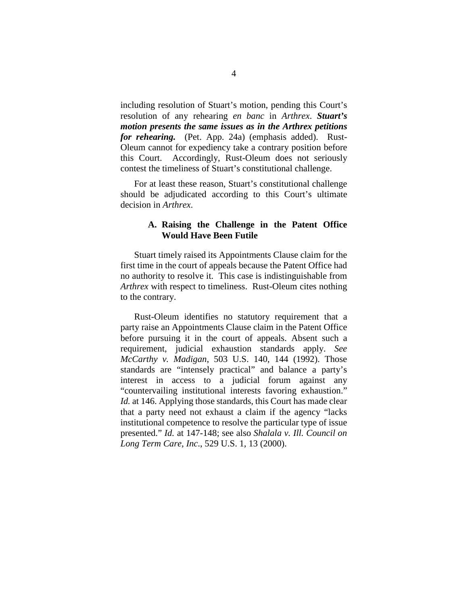including resolution of Stuart's motion, pending this Court's 4 including resolution of Stuart's motion, pending this Court's resolution of any rehearing en banc in Arthrex. Stuart's resolution of any rehearing *en banc* in *Arthrex*. *Stuart's*  motion presents the same issues as in the Arthrex petitions *motion presents the same issues as in the Arthrex petitions*  for rehearing. (Pet. App. 24a) (emphasis added). Rust-*for rehearing.* (Pet. App. 24a) (emphasis added). Rust-Oleum cannot for expediency take a contrary position before Oleum cannot for expediency take a contrary position before this Court. Accordingly, Rust-Oleum does not seriously contest the timeliness of Stuart's constitutional challenge. contest the timeliness of Stuart's constitutional challenge.

For at least these reason, Stuart's constitutional challenge should be adjudicated according to this Court's ultimate decision in Arthrex. For at least these reason, Stuart's constitutional challenge should be adjudicated according to this Court's ultimate decision in *Arthrex*.

#### A. Raising the Challenge in the Patent Office **A. Raising the Challenge in the Patent Office Would Have Been Futile** Would Have Been Futile

Stuart timely raised its Appointments Clause claim for the Stuart timely raised its Appointments Clause claim for the first time in the court of appeals because the Patent Office had no authority to resolve it. This case is indistinguishable from no authority to resolve it. This case is indistinguishable from Arthrex with respect to timeliness. Rust-Oleum cites nothing *Arthrex* with respect to timeliness. Rust-Oleum cites nothing to the contrary. to the contrary.

Rust-Oleum identifies no statutory requirement that a Rust-Oleum identifies no statutory requirement that a party raise an Appointments Clause claim in the Patent Office party raise an Appointments Clause claim in the Patent Office before pursuing it in the court of appeals. Absent such a requirement, judicial exhaustion standards apply. See requirement, judicial exhaustion standards apply. *See*  McCarthy v. Madigan, 503 U.S. 140, 144 (1992). Those standards are "intensely practical" and balance a party's *McCarthy v. Madigan*, 503 U.S. 140, 144 (1992). Those standards are "intensely practical" and balance a party's interest in access to a judicial forum against any "countervailing institutional interests favoring exhaustion." "countervailing institutional interests favoring exhaustion." Id. at 146. Applying those standards, this Court has made clear *Id.* at 146. Applying those standards, this Court has made clear that a party need not exhaust a claim if the agency "lacks that a party need not exhaust a claim if the agency "lacks institutional competence to resolve the particular type of issue presented." Id. at 147-148; see also Shalala v. Ill. Council on Long Term Care, Inc., 529 U.S. 1, 13 (2000). institutional competence to resolve the particular type of issue presented." *Id.* at 147-148; see also *Shalala v. Ill. Council on Long Term Care, Inc*., 529 U.S. 1, 13 (2000).